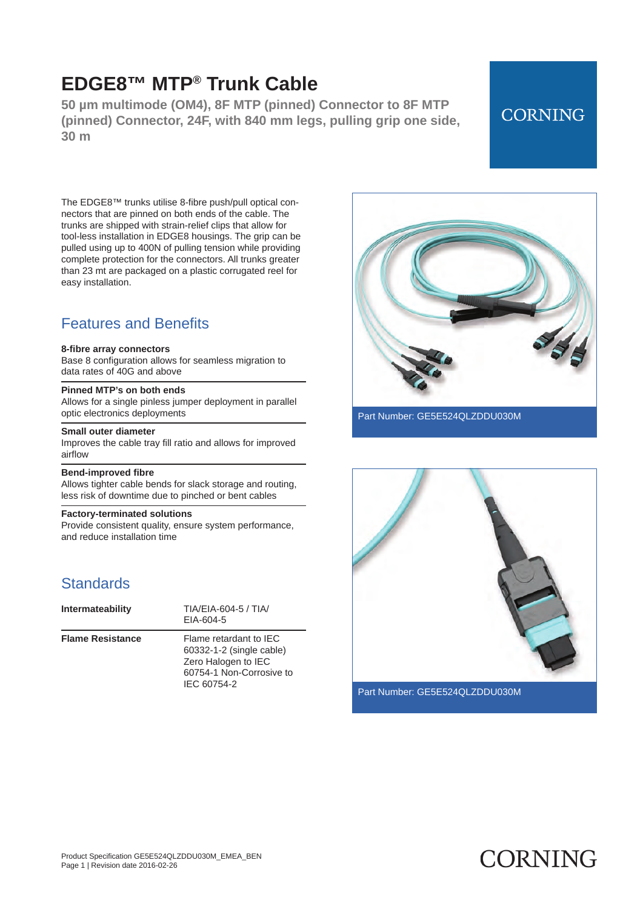**50 µm multimode (OM4), 8F MTP (pinned) Connector to 8F MTP (pinned) Connector, 24F, with 840 mm legs, pulling grip one side, 30 m**

## **CORNING**

The EDGE8™ trunks utilise 8 -fibre push/pull optical connectors that are pinned on both ends of the cable. The trunks are shipped with strain -relief clips that allow for tool -less installation in EDGE8 housings. The grip can be pulled using up to 400N of pulling tension while providing complete protection for the connectors. All trunks greater than 23 mt are packaged on a plastic corrugated reel for easy installation.

### Features and Benefits

#### **8-fibre array connectors**

Base 8 configuration allows for seamless migration to data rates of 40G and above

#### **Pinned MTP's on both ends**

Allows for a single pinless jumper deployment in parallel optic electronics deployments

#### **Small outer diameter**

Improves the cable tray fill ratio and allows for improved airflow

#### **Bend-improved fibre**

Allows tighter cable bends for slack storage and routing, less risk of downtime due to pinched or bent cables

#### **Factory-terminated solutions**

Provide consistent quality, ensure system performance, and reduce installation time

### **Standards**

| Intermateability        | TIA/EIA-604-5 / TIA/<br>EIA-604-5                                                                                    |
|-------------------------|----------------------------------------------------------------------------------------------------------------------|
| <b>Flame Resistance</b> | Flame retardant to IFC<br>60332-1-2 (single cable)<br>Zero Halogen to IEC<br>60754-1 Non-Corrosive to<br>IEC 60754-2 |



Part Number: GE5E524QLZDDU030M



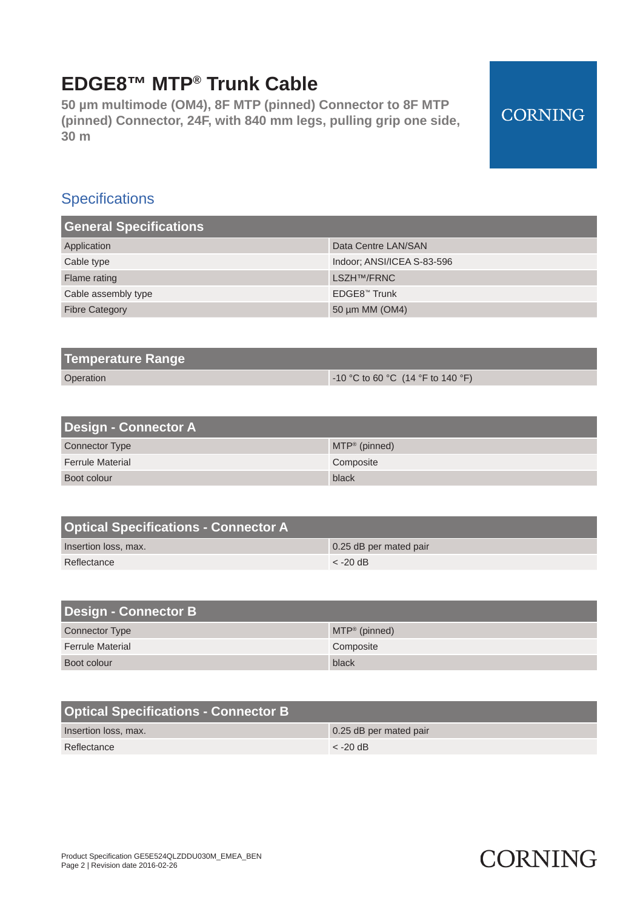**50 µm multimode (OM4), 8F MTP (pinned) Connector to 8F MTP (pinned) Connector, 24F, with 840 mm legs, pulling grip one side, 30 m**

## **Specifications**

| <b>General Specifications</b> |                            |
|-------------------------------|----------------------------|
| Application                   | Data Centre LAN/SAN        |
| Cable type                    | Indoor: ANSI/ICEA S-83-596 |
| Flame rating                  | LSZH <sup>TM</sup> /FRNC   |
| Cable assembly type           | EDGE8™ Trunk               |
| <b>Fibre Category</b>         | 50 µm MM (OM4)             |

| Temperature Range |                                         |
|-------------------|-----------------------------------------|
| Operation         | $\sim$ 10 °C to 60 °C (14 °F to 140 °F) |

| <b>Design - Connector A</b> |                          |
|-----------------------------|--------------------------|
| <b>Connector Type</b>       | $MTP^{\otimes}$ (pinned) |
| <b>Ferrule Material</b>     | Composite                |
| Boot colour                 | black                    |

| <b>Optical Specifications - Connector A</b> |                        |
|---------------------------------------------|------------------------|
| Insertion loss, max.                        | 0.25 dB per mated pair |
| Reflectance                                 | $<$ -20 dB             |

| <b>Design - Connector B</b> |                  |
|-----------------------------|------------------|
| <b>Connector Type</b>       | $MTP^*$ (pinned) |
| <b>Ferrule Material</b>     | Composite        |
| Boot colour                 | black            |

| <b>Optical Specifications - Connector B</b> |                        |
|---------------------------------------------|------------------------|
| Insertion loss, max.                        | 0.25 dB per mated pair |
| Reflectance                                 | $\epsilon$ -20 dB      |

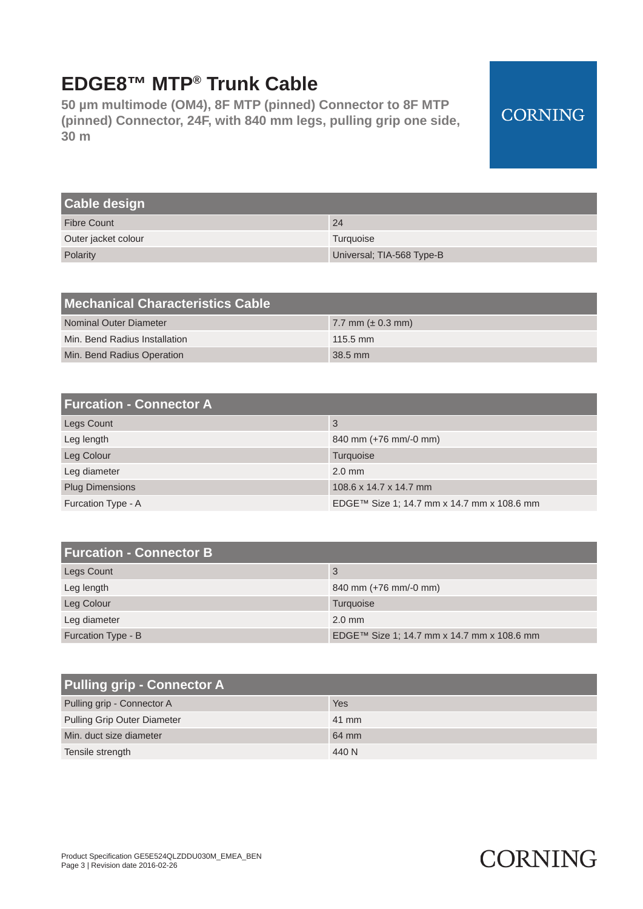**50 µm multimode (OM4), 8F MTP (pinned) Connector to 8F MTP (pinned) Connector, 24F, with 840 mm legs, pulling grip one side, 30 m**

## **CORNING**

| <b>Cable design</b> |                           |
|---------------------|---------------------------|
| <b>Fibre Count</b>  | 24                        |
| Outer jacket colour | Turquoise                 |
| Polarity            | Universal; TIA-568 Type-B |

| Mechanical Characteristics Cable |                        |
|----------------------------------|------------------------|
| Nominal Outer Diameter           | 7.7 mm ( $\pm$ 0.3 mm) |
| Min. Bend Radius Installation    | $115.5 \text{ mm}$     |
| Min. Bend Radius Operation       | $38.5$ mm              |

| <b>Furcation - Connector A</b> |                                            |
|--------------------------------|--------------------------------------------|
| <b>Legs Count</b>              | 3                                          |
| Leg length                     | 840 mm (+76 mm/-0 mm)                      |
| Leg Colour                     | Turquoise                                  |
| Leg diameter                   | $2.0$ mm                                   |
| <b>Plug Dimensions</b>         | 108.6 x 14.7 x 14.7 mm                     |
| Furcation Type - A             | EDGE™ Size 1; 14.7 mm x 14.7 mm x 108.6 mm |

| <b>Furcation - Connector B</b> |                                            |
|--------------------------------|--------------------------------------------|
| Legs Count                     | 3                                          |
| Leg length                     | 840 mm (+76 mm/-0 mm)                      |
| Leg Colour                     | Turquoise                                  |
| Leg diameter                   | $2.0$ mm                                   |
| Furcation Type - B             | EDGE™ Size 1; 14.7 mm x 14.7 mm x 108.6 mm |

| <b>Pulling grip - Connector A</b>  |       |
|------------------------------------|-------|
| Pulling grip - Connector A         | Yes   |
| <b>Pulling Grip Outer Diameter</b> | 41 mm |
| Min. duct size diameter            | 64 mm |
| Tensile strength                   | 440 N |

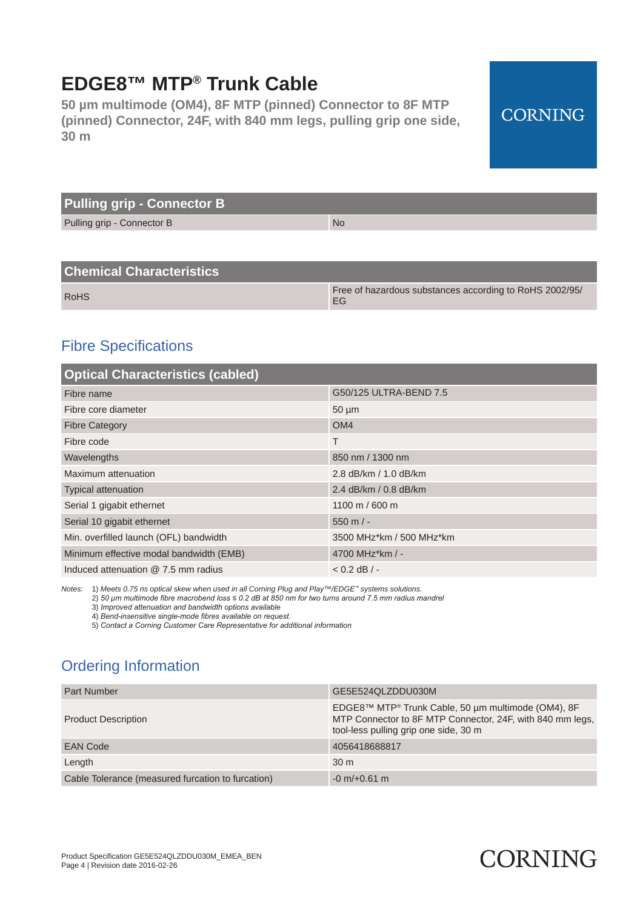**50 µm multimode (OM4), 8F MTP (pinned) Connector to 8F MTP (pinned) Connector, 24F, with 840 mm legs, pulling grip one side, 30 m**

## **CORNING**

| <b>Pulling grip - Connector B</b> |           |
|-----------------------------------|-----------|
| Pulling grip - Connector B        | <b>No</b> |

### **Chemical Characteristics**

| <b>RoHS</b> | Free of hazardous substances according to RoHS 2002/95/ |
|-------------|---------------------------------------------------------|

### Fibre Specifications

| <b>Optical Characteristics (cabled)</b> |                          |  |
|-----------------------------------------|--------------------------|--|
| Fibre name                              | G50/125 ULTRA-BEND 7.5   |  |
| Fibre core diameter                     | $50 \mu m$               |  |
| <b>Fibre Category</b>                   | OM <sub>4</sub>          |  |
| Fibre code                              | Τ                        |  |
| Wavelengths                             | 850 nm / 1300 nm         |  |
| Maximum attenuation                     | 2.8 dB/km / 1.0 dB/km    |  |
| <b>Typical attenuation</b>              | 2.4 dB/km / 0.8 dB/km    |  |
| Serial 1 gigabit ethernet               | 1100 m / 600 m           |  |
| Serial 10 gigabit ethernet              | $550 \text{ m}$ / -      |  |
| Min. overfilled launch (OFL) bandwidth  | 3500 MHz*km / 500 MHz*km |  |
| Minimum effective modal bandwidth (EMB) | 4700 MHz*km / -          |  |
| Induced attenuation @ 7.5 mm radius     | $< 0.2$ dB $/ -$         |  |

*Notes:* 1) *Meets 0.75 ns optical skew when used in all Corning Plug and Play™/EDGE™ systems solutions.*

2) *50 μm multimode fibre macrobend loss ≤ 0.2 dB at 850 nm for two turns around 7.5 mm radius mandrel*

3) *Improved attenuation and bandwidth options available*

4) *Bend-insensitive single-mode fibres available on request.*

5) *Contact a Corning Customer Care Representative for additional information*

## Ordering Information

| <b>Part Number</b>                                | GE5E524QLZDDU030M                                                                                                                                        |
|---------------------------------------------------|----------------------------------------------------------------------------------------------------------------------------------------------------------|
| <b>Product Description</b>                        | EDGE8™ MTP® Trunk Cable, 50 µm multimode (OM4), 8F<br>MTP Connector to 8F MTP Connector, 24F, with 840 mm legs,<br>tool-less pulling grip one side, 30 m |
| <b>EAN Code</b>                                   | 4056418688817                                                                                                                                            |
| Length                                            | 30 <sub>m</sub>                                                                                                                                          |
| Cable Tolerance (measured furcation to furcation) | $-0$ m/ $+0.61$ m                                                                                                                                        |